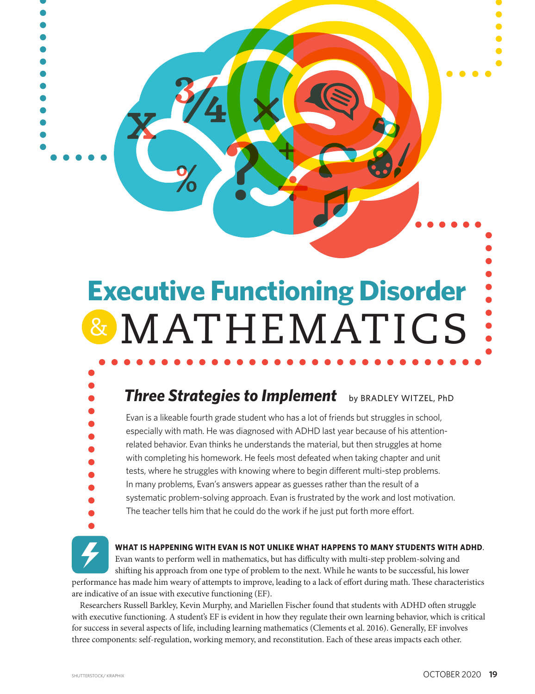# **Executive Functioning Disorder** & MATHEMATICS

# **Three Strategies to Implement** by BRADLEY WITZEL, PhD

Evan is a likeable fourth grade student who has a lot of friends but struggles in school, especially with math. He was diagnosed with ADHD last year because of his attentionrelated behavior. Evan thinks he understands the material, but then struggles at home with completing his homework. He feels most defeated when taking chapter and unit tests, where he struggles with knowing where to begin different multi-step problems. In many problems, Evan's answers appear as guesses rather than the result of a systematic problem-solving approach. Evan is frustrated by the work and lost motivation. The teacher tells him that he could do the work if he just put forth more effort.



#### **WHAT IS HAPPENING WITH EVAN IS NOT UNLIKE WHAT HAPPENS TO MANY STUDENTS WITH ADHD**.

**WH**<br>Eva<br>shi:<br>e ha Evan wants to perform well in mathematics, but has difficulty with multi-step problem-solving and shifting his approach from one type of problem to the next. While he wants to be successful, his lower performance has made him weary of attempts to improve, leading to a lack of effort during math. These characteristics are indicative of an issue with executive functioning (EF).

Researchers Russell Barkley, Kevin Murphy, and Mariellen Fischer found that students with ADHD often struggle with executive functioning. A student's EF is evident in how they regulate their own learning behavior, which is critical for success in several aspects of life, including learning mathematics (Clements et al. 2016). Generally, EF involves three components: self-regulation, working memory, and reconstitution. Each of these areas impacts each other.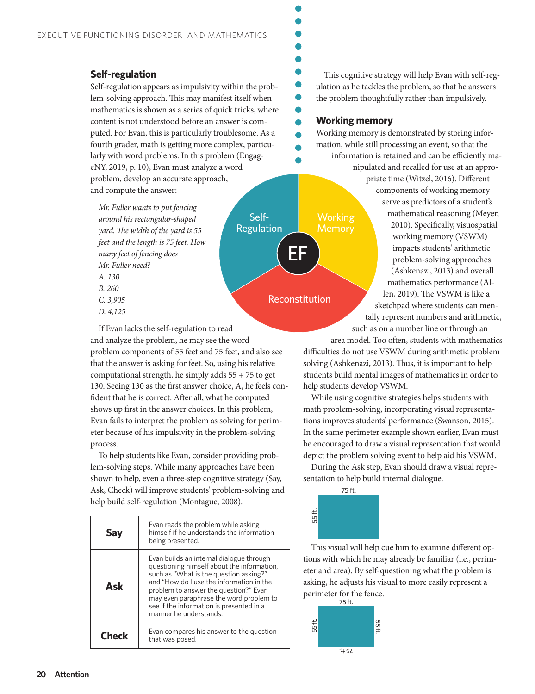# **Self-regulation**

Self-regulation appears as impulsivity within the problem-solving approach. This may manifest itself when mathematics is shown as a series of quick tricks, where content is not understood before an answer is computed. For Evan, this is particularly troublesome. As a fourth grader, math is getting more complex, particularly with word problems. In this problem (EngageNY, 2019, p. 10), Evan must analyze a word problem, develop an accurate approach, and compute the answer:

*Mr. Fuller wants to put fencing around his rectangular-shaped yard. The width of the yard is 55 feet and the length is 75 feet. How many feet of fencing does Mr. Fuller need? A. 130 B. 260 C. 3,905 D. 4,125*

If Evan lacks the self-regulation to read and analyze the problem, he may see the word problem components of 55 feet and 75 feet, and also see that the answer is asking for feet. So, using his relative computational strength, he simply adds  $55 + 75$  to get 130. Seeing 130 as the first answer choice, A, he feels confident that he is correct. After all, what he computed shows up first in the answer choices. In this problem, Evan fails to interpret the problem as solving for perimeter because of his impulsivity in the problem-solving process.

To help students like Evan, consider providing problem-solving steps. While many approaches have been shown to help, even a three-step cognitive strategy (Say, Ask, Check) will improve students' problem-solving and help build self-regulation (Montague, 2008).

|              | Evan reads the problem while asking<br>himself if he understands the information<br>being presented.                                                                                                                                                                                                                                  |
|--------------|---------------------------------------------------------------------------------------------------------------------------------------------------------------------------------------------------------------------------------------------------------------------------------------------------------------------------------------|
| Ask          | Evan builds an internal dialogue through<br>questioning himself about the information,<br>such as "What is the question asking?"<br>and "How do Luse the information in the<br>problem to answer the question?" Evan<br>may even paraphrase the word problem to<br>see if the information is presented in a<br>manner he understands. |
| <b>Check</b> | Evan compares his answer to the question<br>that was posed.                                                                                                                                                                                                                                                                           |

This cognitive strategy will help Evan with self-regulation as he tackles the problem, so that he answers the problem thoughtfully rather than impulsively.

## **Working memory**

Working **Memory** 

EF

Reconstitution

Self-Regulation Working memory is demonstrated by storing information, while still processing an event, so that the information is retained and can be efficiently ma-

> nipulated and recalled for use at an appropriate time (Witzel, 2016). Different components of working memory serve as predictors of a student's mathematical reasoning (Meyer, 2010). Specifically, visuospatial working memory (VSWM) impacts students' arithmetic problem-solving approaches (Ashkenazi, 2013) and overall mathematics performance (Allen, 2019). The VSWM is like a sketchpad where students can mentally represent numbers and arithmetic,

such as on a number line or through an

area model. Too often, students with mathematics difficulties do not use VSWM during arithmetic problem solving (Ashkenazi, 2013). Thus, it is important to help students build mental images of mathematics in order to help students develop VSWM.

While using cognitive strategies helps students with math problem-solving, incorporating visual representations improves students' performance (Swanson, 2015). In the same perimeter example shown earlier, Evan must be encouraged to draw a visual representation that would depict the problem solving event to help aid his VSWM.

During the Ask step, Evan should draw a visual representation to help build internal dialogue.



This visual will help cue him to examine different options with which he may already be familiar (i.e., perimeter and area). By self-questioning what the problem is asking, he adjusts his visual to more easily represent a perimeter for the fence.